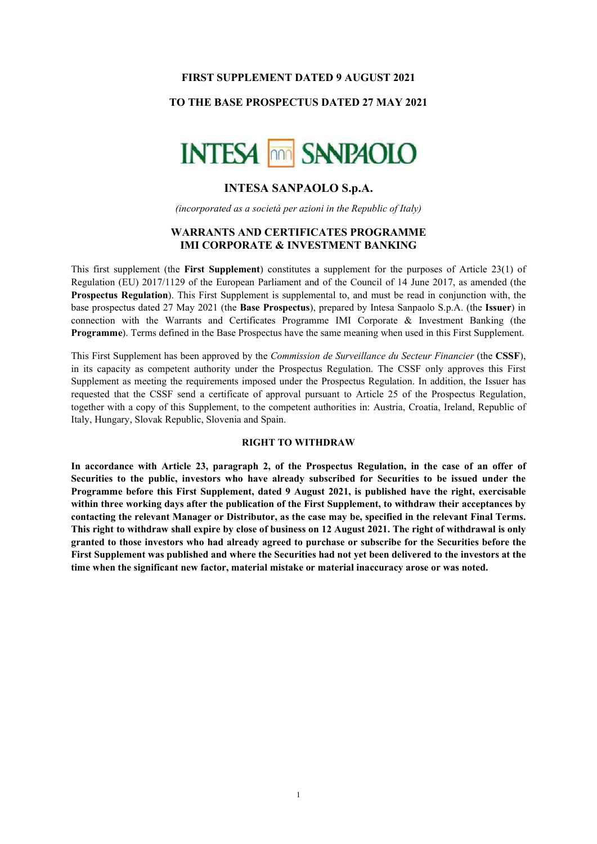#### FIRST SUPPLEMENT DATED 9 AUGUST 2021

# TO THE BASE PROSPECTUS DATED 27 MAY 2021



## INTESA SANPAOLO S.p.A.

(incorporated as a società per azioni in the Republic of Italy)

## WARRANTS AND CERTIFICATES PROGRAMME IMI CORPORATE & INVESTMENT BANKING

This first supplement (the First Supplement) constitutes a supplement for the purposes of Article 23(1) of Regulation (EU) 2017/1129 of the European Parliament and of the Council of 14 June 2017, as amended (the Prospectus Regulation). This First Supplement is supplemental to, and must be read in conjunction with, the base prospectus dated 27 May 2021 (the Base Prospectus), prepared by Intesa Sanpaolo S.p.A. (the Issuer) in connection with the Warrants and Certificates Programme IMI Corporate & Investment Banking (the Programme). Terms defined in the Base Prospectus have the same meaning when used in this First Supplement.

This First Supplement has been approved by the *Commission de Surveillance du Secteur Financier* (the CSSF), in its capacity as competent authority under the Prospectus Regulation. The CSSF only approves this First Supplement as meeting the requirements imposed under the Prospectus Regulation. In addition, the Issuer has requested that the CSSF send a certificate of approval pursuant to Article 25 of the Prospectus Regulation, together with a copy of this Supplement, to the competent authorities in: Austria, Croatia, Ireland, Republic of Italy, Hungary, Slovak Republic, Slovenia and Spain.

#### RIGHT TO WITHDRAW

In accordance with Article 23, paragraph 2, of the Prospectus Regulation, in the case of an offer of Securities to the public, investors who have already subscribed for Securities to be issued under the Programme before this First Supplement, dated 9 August 2021, is published have the right, exercisable within three working days after the publication of the First Supplement, to withdraw their acceptances by contacting the relevant Manager or Distributor, as the case may be, specified in the relevant Final Terms. This right to withdraw shall expire by close of business on 12 August 2021. The right of withdrawal is only granted to those investors who had already agreed to purchase or subscribe for the Securities before the First Supplement was published and where the Securities had not yet been delivered to the investors at the time when the significant new factor, material mistake or material inaccuracy arose or was noted.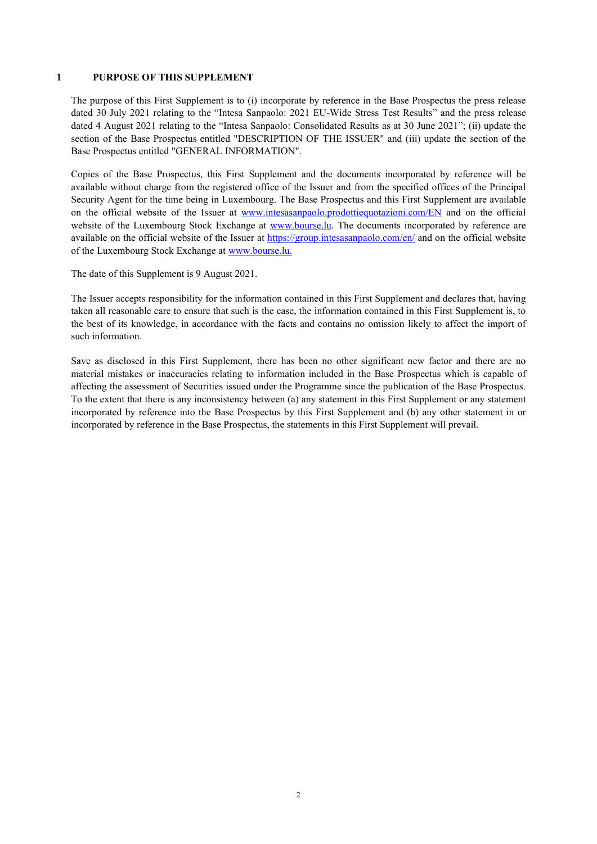#### 1 PURPOSE OF THIS SUPPLEMENT

The purpose of this First Supplement is to (i) incorporate by reference in the Base Prospectus the press release dated 30 July 2021 relating to the "Intesa Sanpaolo: 2021 EU-Wide Stress Test Results" and the press release dated 4 August 2021 relating to the "Intesa Sanpaolo: Consolidated Results as at 30 June 2021"; (ii) update the section of the Base Prospectus entitled "DESCRIPTION OF THE ISSUER" and (iii) update the section of the Base Prospectus entitled "GENERAL INFORMATION".

Copies of the Base Prospectus, this First Supplement and the documents incorporated by reference will be available without charge from the registered office of the Issuer and from the specified offices of the Principal Security Agent for the time being in Luxembourg. The Base Prospectus and this First Supplement are available on the official website of the Issuer at www.intesasanpaolo.prodottiequotazioni.com/EN and on the official website of the Luxembourg Stock Exchange at www.bourse.lu. The documents incorporated by reference are available on the official website of the Issuer at https://group.intesasanpaolo.com/en/ and on the official website of the Luxembourg Stock Exchange at www.bourse.lu.

The date of this Supplement is 9 August 2021.

The Issuer accepts responsibility for the information contained in this First Supplement and declares that, having taken all reasonable care to ensure that such is the case, the information contained in this First Supplement is, to the best of its knowledge, in accordance with the facts and contains no omission likely to affect the import of such information.

Save as disclosed in this First Supplement, there has been no other significant new factor and there are no material mistakes or inaccuracies relating to information included in the Base Prospectus which is capable of affecting the assessment of Securities issued under the Programme since the publication of the Base Prospectus. To the extent that there is any inconsistency between (a) any statement in this First Supplement or any statement incorporated by reference into the Base Prospectus by this First Supplement and (b) any other statement in or incorporated by reference in the Base Prospectus, the statements in this First Supplement will prevail.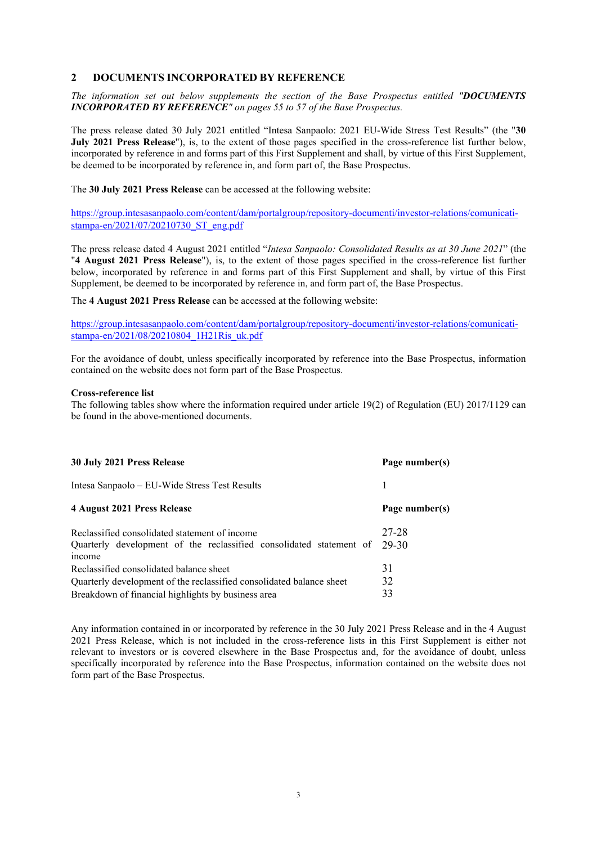## 2 DOCUMENTS INCORPORATED BY REFERENCE

The information set out below supplements the section of the Base Prospectus entitled "DOCUMENTS INCORPORATED BY REFERENCE" on pages 55 to 57 of the Base Prospectus.

The press release dated 30 July 2021 entitled "Intesa Sanpaolo: 2021 EU-Wide Stress Test Results" (the "30 July 2021 Press Release"), is, to the extent of those pages specified in the cross-reference list further below, incorporated by reference in and forms part of this First Supplement and shall, by virtue of this First Supplement, be deemed to be incorporated by reference in, and form part of, the Base Prospectus.

The 30 July 2021 Press Release can be accessed at the following website:

https://group.intesasanpaolo.com/content/dam/portalgroup/repository-documenti/investor-relations/comunicatistampa-en/2021/07/20210730\_ST\_eng.pdf

The press release dated 4 August 2021 entitled "Intesa Sanpaolo: Consolidated Results as at 30 June 2021" (the "4 August 2021 Press Release"), is, to the extent of those pages specified in the cross-reference list further below, incorporated by reference in and forms part of this First Supplement and shall, by virtue of this First Supplement, be deemed to be incorporated by reference in, and form part of, the Base Prospectus.

The 4 August 2021 Press Release can be accessed at the following website:

https://group.intesasanpaolo.com/content/dam/portalgroup/repository-documenti/investor-relations/comunicatistampa-en/2021/08/20210804\_1H21Ris\_uk.pdf

For the avoidance of doubt, unless specifically incorporated by reference into the Base Prospectus, information contained on the website does not form part of the Base Prospectus.

#### Cross-reference list

The following tables show where the information required under article 19(2) of Regulation (EU) 2017/1129 can be found in the above-mentioned documents.

| 30 July 2021 Press Release                                                                                                     | Page number(s) |
|--------------------------------------------------------------------------------------------------------------------------------|----------------|
| Intesa Sanpaolo – EU-Wide Stress Test Results                                                                                  |                |
| 4 August 2021 Press Release                                                                                                    | Page number(s) |
| Reclassified consolidated statement of income<br>Quarterly development of the reclassified consolidated statement of<br>income | 27-28<br>29-30 |
| Reclassified consolidated balance sheet<br>Quarterly development of the reclassified consolidated balance sheet                | 31<br>32       |
| Breakdown of financial highlights by business area                                                                             | 33             |

Any information contained in or incorporated by reference in the 30 July 2021 Press Release and in the 4 August 2021 Press Release, which is not included in the cross-reference lists in this First Supplement is either not relevant to investors or is covered elsewhere in the Base Prospectus and, for the avoidance of doubt, unless specifically incorporated by reference into the Base Prospectus, information contained on the website does not form part of the Base Prospectus.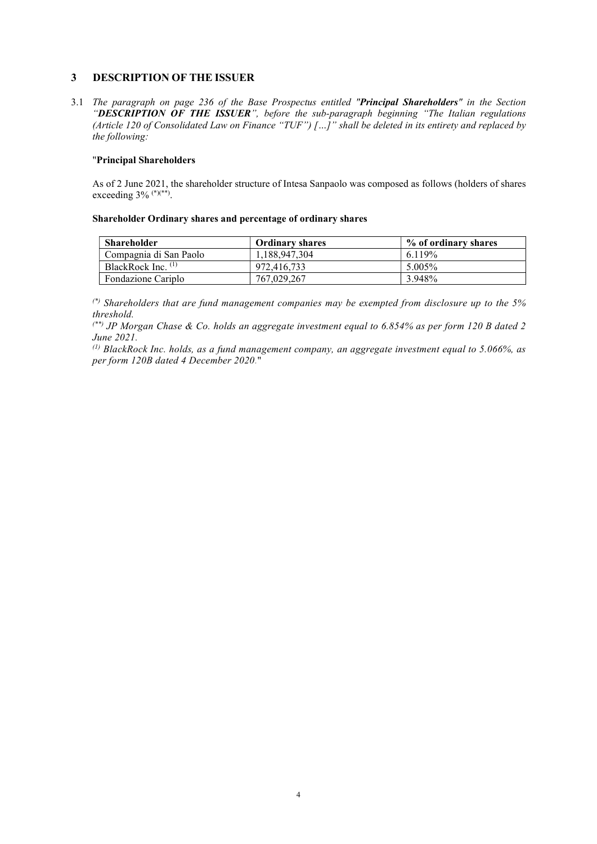## 3 DESCRIPTION OF THE ISSUER

3.1 The paragraph on page 236 of the Base Prospectus entitled "Principal Shareholders" in the Section "DESCRIPTION OF THE ISSUER", before the sub-paragraph beginning "The Italian regulations (Article 120 of Consolidated Law on Finance "TUF") […]" shall be deleted in its entirety and replaced by the following:

## "Principal Shareholders

As of 2 June 2021, the shareholder structure of Intesa Sanpaolo was composed as follows (holders of shares exceeding 3% <sup>(\*)(\*\*)</sup>.

### Shareholder Ordinary shares and percentage of ordinary shares

| <b>Shareholder</b>     | <b>Ordinary shares</b> | % of ordinary shares |
|------------------------|------------------------|----------------------|
| Compagnia di San Paolo | 1.188.947.304          | 6.119%               |
| BlackRock Inc. $(1)$   | 972,416,733            | $5.005\%$            |
| Fondazione Cariplo     | 767,029,267            | 3.948%               |

 $(*)$  Shareholders that are fund management companies may be exempted from disclosure up to the 5% threshold.

 $(*)$  JP Morgan Chase & Co. holds an aggregate investment equal to 6.854% as per form 120 B dated 2 June 2021.

 $^{(1)}$  BlackRock Inc. holds, as a fund management company, an aggregate investment equal to 5.066%, as per form 120B dated 4 December 2020."